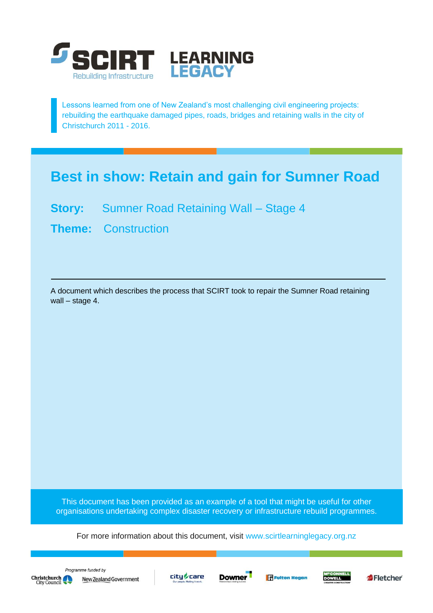

Lessons learned from one of New Zealand's most challenging civil engineering projects: rebuilding the earthquake damaged pipes, roads, bridges and retaining walls in the city of Christchurch 2011 - 2016.

## **Best in show: Retain and gain for Sumner Road**

- **Story:** Sumner Road Retaining Wall Stage 4
- **Theme:** Construction

A document which describes the process that SCIRT took to repair the Sumner Road retaining wall – stage 4.

This document has been provided as an example of a tool that might be useful for other organisations undertaking complex disaster recovery or infrastructure rebuild programmes.

For more information about this document, visit [www.scirtlearninglegacy.org.nz](http://www.scirtlearninglegacy.org.nz/)







**Fi** Fulton Hogan



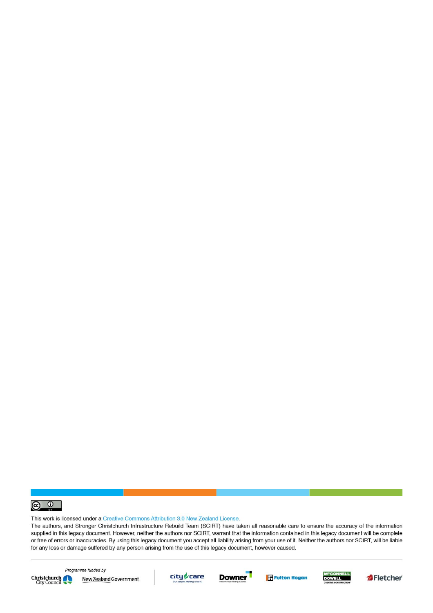

This work is licensed under a Creative Commons Attribution 3.0 New Zealand License.

The authors, and Stronger Christchurch Infrastructure Rebuild Team (SCIRT) have taken all reasonable care to ensure the accuracy of the information supplied in this legacy document. However, neither the authors nor SCIRT, warrant that the information contained in this legacy document will be complete or free of errors or inaccuracies. By using this legacy document you accept all liability arising from your use of it. Neither the authors nor SCIRT, will be liable for any loss or damage suffered by any person arising from the use of this legacy document, however caused.



Programme funded by New Zealand Government









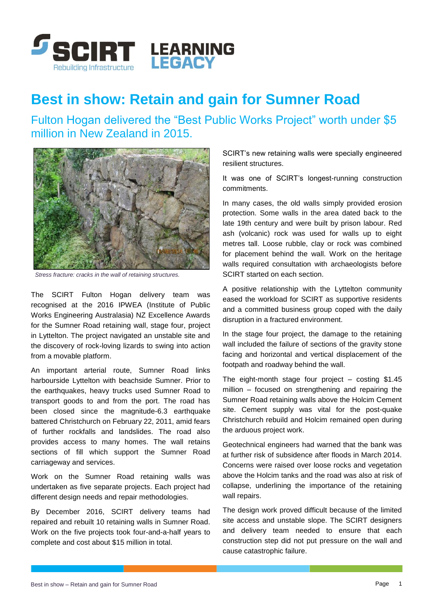

## **Best in show: Retain and gain for Sumner Road**

Fulton Hogan delivered the "Best Public Works Project" worth under \$5 million in New Zealand in 2015.



*Stress fracture: cracks in the wall of retaining structures.*

The SCIRT Fulton Hogan delivery team was recognised at the 2016 IPWEA (Institute of Public Works Engineering Australasia) NZ Excellence Awards for the Sumner Road retaining wall, stage four, project in Lyttelton. The project navigated an unstable site and the discovery of rock-loving lizards to swing into action from a movable platform.

An important arterial route, Sumner Road links harbourside Lyttelton with beachside Sumner. Prior to the earthquakes, heavy trucks used Sumner Road to transport goods to and from the port. The road has been closed since the magnitude-6.3 earthquake battered Christchurch on February 22, 2011, amid fears of further rockfalls and landslides. The road also provides access to many homes. The wall retains sections of fill which support the Sumner Road carriageway and services.

Work on the Sumner Road retaining walls was undertaken as five separate projects. Each project had different design needs and repair methodologies.

By December 2016, SCIRT delivery teams had repaired and rebuilt 10 retaining walls in Sumner Road. Work on the five projects took four-and-a-half years to complete and cost about \$15 million in total.

SCIRT's new retaining walls were specially engineered resilient structures.

It was one of SCIRT's longest-running construction commitments.

In many cases, the old walls simply provided erosion protection. Some walls in the area dated back to the late 19th century and were built by prison labour. Red ash (volcanic) rock was used for walls up to eight metres tall. Loose rubble, clay or rock was combined for placement behind the wall. Work on the heritage walls required consultation with archaeologists before SCIRT started on each section.

A positive relationship with the Lyttelton community eased the workload for SCIRT as supportive residents and a committed business group coped with the daily disruption in a fractured environment.

In the stage four project, the damage to the retaining wall included the failure of sections of the gravity stone facing and horizontal and vertical displacement of the footpath and roadway behind the wall.

The eight-month stage four project – costing \$1.45 million – focused on strengthening and repairing the Sumner Road retaining walls above the Holcim Cement site. Cement supply was vital for the post-quake Christchurch rebuild and Holcim remained open during the arduous project work.

Geotechnical engineers had warned that the bank was at further risk of subsidence after floods in March 2014. Concerns were raised over loose rocks and vegetation above the Holcim tanks and the road was also at risk of collapse, underlining the importance of the retaining wall repairs.

The design work proved difficult because of the limited site access and unstable slope. The SCIRT designers and delivery team needed to ensure that each construction step did not put pressure on the wall and cause catastrophic failure.